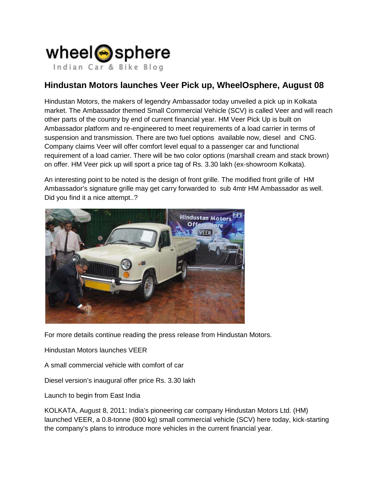

## **Hindustan Motors launches Veer Pick up, WheelOsphere, August 08**

Hindustan Motors, the makers of legendry Ambassador today unveiled a pick up in Kolkata market. The Ambassador themed Small Commercial Vehicle (SCV) is called Veer and will reach other parts of the country by end of current financial year. HM Veer Pick Up is built on Ambassador platform and re-engineered to meet requirements of a load carrier in terms of suspension and transmission. There are two fuel options available now, diesel and CNG. Company claims Veer will offer comfort level equal to a passenger car and functional requirement of a load carrier. There will be two color options (marshall cream and stack brown) on offer. HM Veer pick up will sport a price tag of Rs. 3.30 lakh (ex-showroom Kolkata).

An interesting point to be noted is the design of front grille. The modified front grille of HM Ambassador's signature grille may get carry forwarded to sub 4mtr HM Ambassador as well. Did you find it a nice attempt..?



For more details continue reading the press release from Hindustan Motors.

Hindustan Motors launches VEER

A small commercial vehicle with comfort of car

Diesel version's inaugural offer price Rs. 3.30 lakh

Launch to begin from East India

KOLKATA, August 8, 2011: India's pioneering car company Hindustan Motors Ltd. (HM) launched VEER, a 0.8-tonne (800 kg) small commercial vehicle (SCV) here today, kick-starting the company's plans to introduce more vehicles in the current financial year.